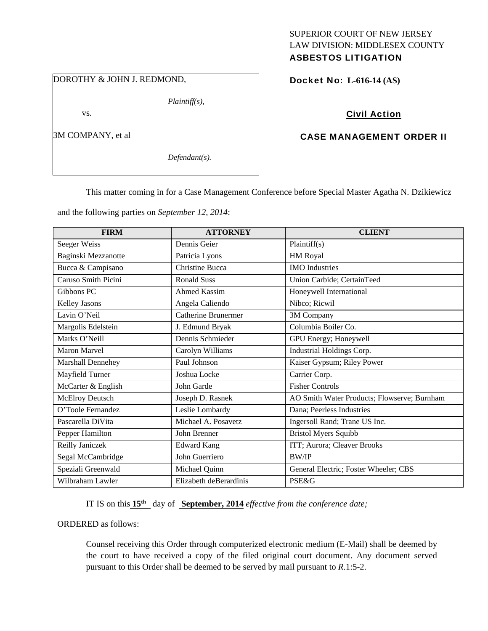# SUPERIOR COURT OF NEW JERSEY LAW DIVISION: MIDDLESEX COUNTY

# ASBESTOS LITIGATION

DOROTHY & JOHN J. REDMOND,

3M COMPANY, et al

vs.

*Defendant(s).* 

*Plaintiff(s),* 

### Docket No: **L-616-14 (AS)**

# Civil Action

## CASE MANAGEMENT ORDER II

This matter coming in for a Case Management Conference before Special Master Agatha N. Dzikiewicz

and the following parties on *September 12, 2014*:

| <b>FIRM</b>              | <b>ATTORNEY</b>        | <b>CLIENT</b>                               |
|--------------------------|------------------------|---------------------------------------------|
| Seeger Weiss             | Dennis Geier           | Plaintiff(s)                                |
| Baginski Mezzanotte      | Patricia Lyons         | HM Royal                                    |
| Bucca & Campisano        | <b>Christine Bucca</b> | <b>IMO</b> Industries                       |
| Caruso Smith Picini      | <b>Ronald Suss</b>     | Union Carbide; CertainTeed                  |
| Gibbons PC               | Ahmed Kassim           | Honeywell International                     |
| <b>Kelley Jasons</b>     | Angela Caliendo        | Nibco; Ricwil                               |
| Lavin O'Neil             | Catherine Brunermer    | 3M Company                                  |
| Margolis Edelstein       | J. Edmund Bryak        | Columbia Boiler Co.                         |
| Marks O'Neill            | Dennis Schmieder       | GPU Energy; Honeywell                       |
| <b>Maron Marvel</b>      | Carolyn Williams       | Industrial Holdings Corp.                   |
| <b>Marshall Dennehey</b> | Paul Johnson           | Kaiser Gypsum; Riley Power                  |
| Mayfield Turner          | Joshua Locke           | Carrier Corp.                               |
| McCarter & English       | John Garde             | <b>Fisher Controls</b>                      |
| McElroy Deutsch          | Joseph D. Rasnek       | AO Smith Water Products; Flowserve; Burnham |
| O'Toole Fernandez        | Leslie Lombardy        | Dana; Peerless Industries                   |
| Pascarella DiVita        | Michael A. Posavetz    | Ingersoll Rand; Trane US Inc.               |
| Pepper Hamilton          | John Brenner           | <b>Bristol Myers Squibb</b>                 |
| Reilly Janiczek          | <b>Edward Kang</b>     | ITT; Aurora; Cleaver Brooks                 |
| Segal McCambridge        | John Guerriero         | <b>BW/IP</b>                                |
| Speziali Greenwald       | Michael Quinn          | General Electric; Foster Wheeler; CBS       |
| Wilbraham Lawler         | Elizabeth deBerardinis | <b>PSE&amp;G</b>                            |

IT IS on this **15th** day of **September, 2014** *effective from the conference date;*

ORDERED as follows:

Counsel receiving this Order through computerized electronic medium (E-Mail) shall be deemed by the court to have received a copy of the filed original court document. Any document served pursuant to this Order shall be deemed to be served by mail pursuant to *R*.1:5-2.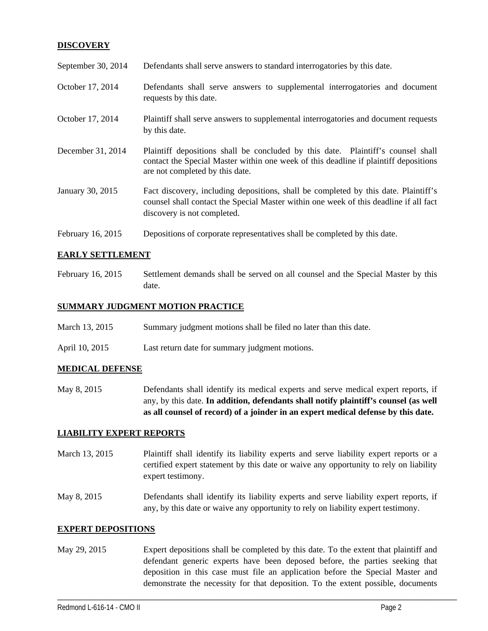### **DISCOVERY**

| September 30, 2014 | Defendants shall serve answers to standard interrogatories by this date.                                                                                                                                    |
|--------------------|-------------------------------------------------------------------------------------------------------------------------------------------------------------------------------------------------------------|
| October 17, 2014   | Defendants shall serve answers to supplemental interrogatories and document<br>requests by this date.                                                                                                       |
| October 17, 2014   | Plaintiff shall serve answers to supplemental interrogatories and document requests<br>by this date.                                                                                                        |
| December 31, 2014  | Plaintiff depositions shall be concluded by this date. Plaintiff's counsel shall<br>contact the Special Master within one week of this deadline if plaintiff depositions<br>are not completed by this date. |
| January 30, 2015   | Fact discovery, including depositions, shall be completed by this date. Plaintiff's<br>counsel shall contact the Special Master within one week of this deadline if all fact<br>discovery is not completed. |
| February 16, 2015  | Depositions of corporate representatives shall be completed by this date.                                                                                                                                   |

#### **EARLY SETTLEMENT**

February 16, 2015 Settlement demands shall be served on all counsel and the Special Master by this date.

#### **SUMMARY JUDGMENT MOTION PRACTICE**

- March 13, 2015 Summary judgment motions shall be filed no later than this date.
- April 10, 2015 Last return date for summary judgment motions.

#### **MEDICAL DEFENSE**

May 8, 2015 Defendants shall identify its medical experts and serve medical expert reports, if any, by this date. **In addition, defendants shall notify plaintiff's counsel (as well as all counsel of record) of a joinder in an expert medical defense by this date.** 

#### **LIABILITY EXPERT REPORTS**

- March 13, 2015 Plaintiff shall identify its liability experts and serve liability expert reports or a certified expert statement by this date or waive any opportunity to rely on liability expert testimony.
- May 8, 2015 Defendants shall identify its liability experts and serve liability expert reports, if any, by this date or waive any opportunity to rely on liability expert testimony.

#### **EXPERT DEPOSITIONS**

May 29, 2015 Expert depositions shall be completed by this date. To the extent that plaintiff and defendant generic experts have been deposed before, the parties seeking that deposition in this case must file an application before the Special Master and demonstrate the necessity for that deposition. To the extent possible, documents

\_\_\_\_\_\_\_\_\_\_\_\_\_\_\_\_\_\_\_\_\_\_\_\_\_\_\_\_\_\_\_\_\_\_\_\_\_\_\_\_\_\_\_\_\_\_\_\_\_\_\_\_\_\_\_\_\_\_\_\_\_\_\_\_\_\_\_\_\_\_\_\_\_\_\_\_\_\_\_\_\_\_\_\_\_\_\_\_\_\_\_\_\_\_\_\_\_\_\_\_\_\_\_\_\_\_\_\_\_\_